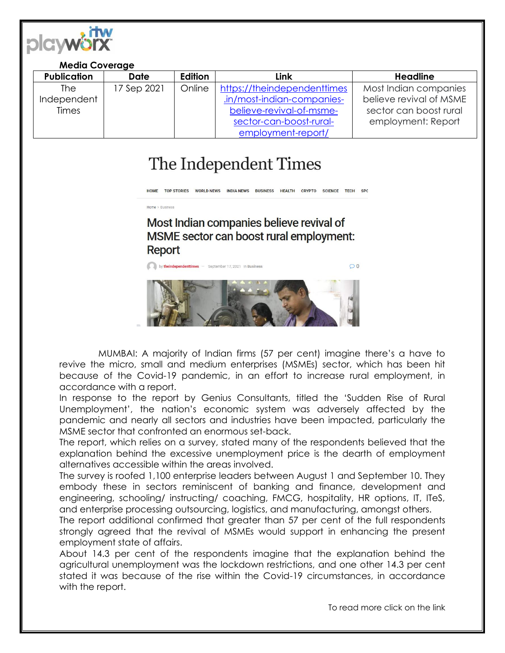

| <b>Media Coverage</b> |                    |             |         |                             |                         |
|-----------------------|--------------------|-------------|---------|-----------------------------|-------------------------|
|                       | <b>Publication</b> | Date        | Edition | <b>Link</b>                 | <b>Headline</b>         |
|                       | The                | 17 Sep 2021 | Online  | https://theindependenttimes | Most Indian companies   |
|                       | Independent        |             |         | .in/most-indian-companies-  | believe revival of MSME |
|                       | <b>Times</b>       |             |         | believe-revival-of-msme-    | sector can boost rural  |
|                       |                    |             |         | sector-can-boost-rural-     | employment: Report      |
|                       |                    |             |         | employment-report/          |                         |

## The Independent Times

HOME TOP STORIES WORLD NEWS INDIA NEWS BUSINESS HEALTH CRYPTO SCIENCE TECH SPO

Home > Business

Most Indian companies believe revival of MSME sector can boost rural employment: **Report** 



MUMBAI: A majority of Indian firms (57 per cent) imagine there's a have to revive the micro, small and medium enterprises (MSMEs) sector, which has been hit because of the Covid-19 pandemic, in an effort to increase rural employment, in accordance with a report.

In response to the report by Genius Consultants, titled the 'Sudden Rise of Rural Unemployment', the nation's economic system was adversely affected by the pandemic and nearly all sectors and industries have been impacted, particularly the MSME sector that confronted an enormous set-back.

The report, which relies on a survey, stated many of the respondents believed that the explanation behind the excessive unemployment price is the dearth of employment alternatives accessible within the areas involved.

The survey is roofed 1,100 enterprise leaders between August 1 and September 10. They embody these in sectors reminiscent of banking and finance, development and engineering, schooling/ instructing/ coaching, FMCG, hospitality, HR options, IT, ITeS, and enterprise processing outsourcing, logistics, and manufacturing, amongst others.

The report additional confirmed that greater than 57 per cent of the full respondents strongly agreed that the revival of MSMEs would support in enhancing the present employment state of affairs.

About 14.3 per cent of the respondents imagine that the explanation behind the agricultural unemployment was the lockdown restrictions, and one other 14.3 per cent stated it was because of the rise within the Covid-19 circumstances, in accordance with the report.

To read more click on the link